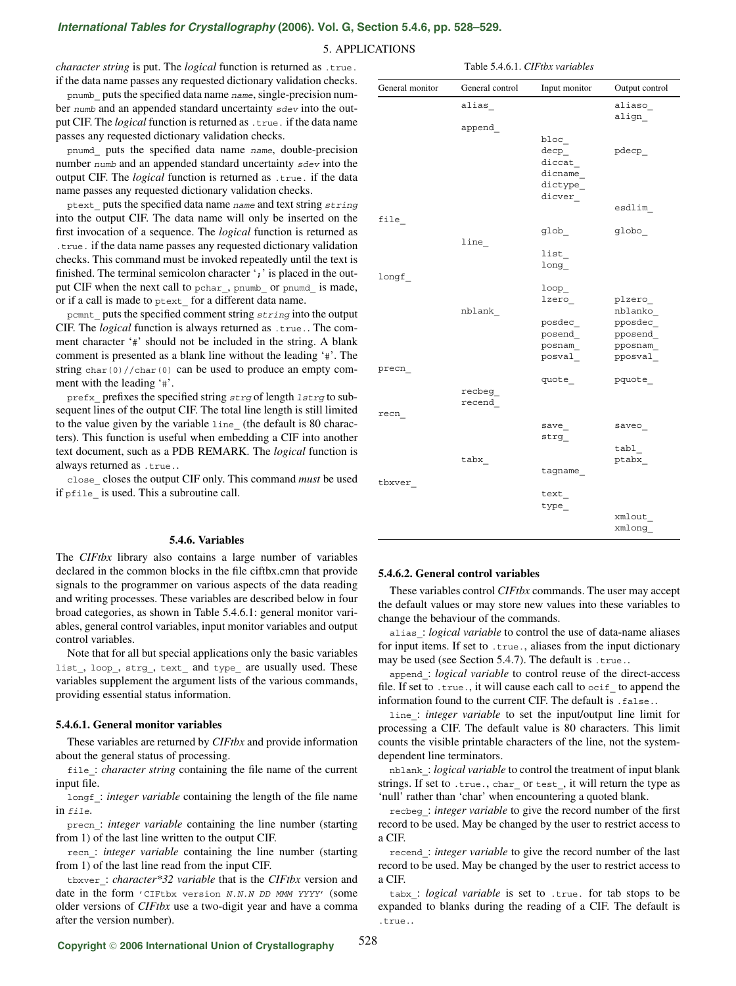# *International Tables for Crystallography* **[\(2006\). Vol. G, Section 5.4.6, pp. 528–529.](http://it.iucr.org/Ga/ch5o4v0001/sec5o4o6/)**

## 5. APPLICATIONS

*character string* is put. The *logical* function is returned as .true. if the data name passes any requested dictionary validation checks.

pnumb\_ puts the specified data name name, single-precision number numb and an appended standard uncertainty sdev into the output CIF. The *logical* function is returned as .true. if the data name passes any requested dictionary validation checks.

pnumd\_ puts the specified data name name, double-precision number numb and an appended standard uncertainty sdev into the output CIF. The *logical* function is returned as .true. if the data name passes any requested dictionary validation checks.

ptext puts the specified data name name and text string string into the output CIF. The data name will only be inserted on the first invocation of a sequence. The *logical* function is returned as .true. if the data name passes any requested dictionary validation checks. This command must be invoked repeatedly until the text is finished. The terminal semicolon character '**;**' is placed in the output CIF when the next call to pchar, pnumb or pnumd is made, or if a call is made to ptext\_ for a different data name.

pcmnt puts the specified comment string string into the output CIF. The *logical* function is always returned as .true.. The comment character '#' should not be included in the string. A blank comment is presented as a blank line without the leading '#'. The string char(0)//char(0) can be used to produce an empty comment with the leading '#'.

prefx prefixes the specified string strg of length lstrg to subsequent lines of the output CIF. The total line length is still limited to the value given by the variable line\_ (the default is 80 characters). This function is useful when embedding a CIF into another text document, such as a PDB REMARK. The *logical* function is always returned as .true..

close\_ closes the output CIF only. This command *must* be used if pfile\_ is used. This a subroutine call.

### **5.4.6. Variables**

The *CIFtbx* library also contains a large number of variables declared in the common blocks in the file ciftbx.cmn that provide signals to the programmer on various aspects of the data reading and writing processes. These variables are described below in four broad categories, as shown in Table 5.4.6.1: general monitor variables, general control variables, input monitor variables and output control variables.

Note that for all but special applications only the basic variables list\_, loop\_, strg\_, text\_ and type\_ are usually used. These variables supplement the argument lists of the various commands, providing essential status information.

#### **5.4.6.1. General monitor variables**

These variables are returned by *CIFtbx* and provide information about the general status of processing.

file\_: *character string* containing the file name of the current input file.

longf\_: *integer variable* containing the length of the file name in file.

precn\_: *integer variable* containing the line number (starting from 1) of the last line written to the output CIF.

recn\_: *integer variable* containing the line number (starting from 1) of the last line read from the input CIF.

tbxver\_: *character\*32 variable* that is the *CIFtbx* version and date in the form 'CIFtbx version N.N.N DD MMM YYYY' (some older versions of *CIFtbx* use a two-digit year and have a comma after the version number).

| Table 5.4.6.1. CIFtbx variables |  |  |
|---------------------------------|--|--|
|---------------------------------|--|--|

| General monitor | General control  | Input monitor                                                           | Output control                              |
|-----------------|------------------|-------------------------------------------------------------------------|---------------------------------------------|
|                 | alias            |                                                                         | aliaso<br>align                             |
|                 | append           | $bloc_$<br>$\texttt{deep}\_$<br>$dict_$<br>dicname<br>dictype<br>dicver | pdecp                                       |
| file            |                  |                                                                         | esdlim                                      |
|                 | line             | glob                                                                    | globo                                       |
|                 |                  | list<br>long                                                            |                                             |
| longf           | nblank           | loop<br>lzero                                                           | plzero<br>nblanko                           |
|                 |                  | posdec<br>posend<br>posnam<br>posval                                    | pposdec<br>$pposend_$<br>pposnam<br>pposval |
| precn           | recbeg<br>recend | quote_                                                                  | pquote                                      |
| recn            |                  | save                                                                    | saveo                                       |
|                 |                  | strg                                                                    | tabl                                        |
| tbxver_         | tabx             | tagname                                                                 | ptabx                                       |
|                 |                  | text<br>type_                                                           | xmlout                                      |
|                 |                  |                                                                         | xmlong_                                     |

#### **5.4.6.2. General control variables**

These variables control *CIFtbx* commands. The user may accept the default values or may store new values into these variables to change the behaviour of the commands.

alias\_: *logical variable* to control the use of data-name aliases for input items. If set to .true., aliases from the input dictionary may be used (see Section 5.4.7). The default is .true..

append\_: *logical variable* to control reuse of the direct-access file. If set to .true., it will cause each call to ocif to append the information found to the current CIF. The default is .false..

line\_: *integer variable* to set the input/output line limit for processing a CIF. The default value is 80 characters. This limit counts the visible printable characters of the line, not the systemdependent line terminators.

nblank\_: *logical variable* to control the treatment of input blank strings. If set to .true., char\_ or test\_, it will return the type as 'null' rather than 'char' when encountering a quoted blank.

recbeg\_: *integer variable* to give the record number of the first record to be used. May be changed by the user to restrict access to a CIF.

recend\_: *integer variable* to give the record number of the last record to be used. May be changed by the user to restrict access to a CIF.

tabx\_: *logical variable* is set to .true. for tab stops to be expanded to blanks during the reading of a CIF. The default is .true..